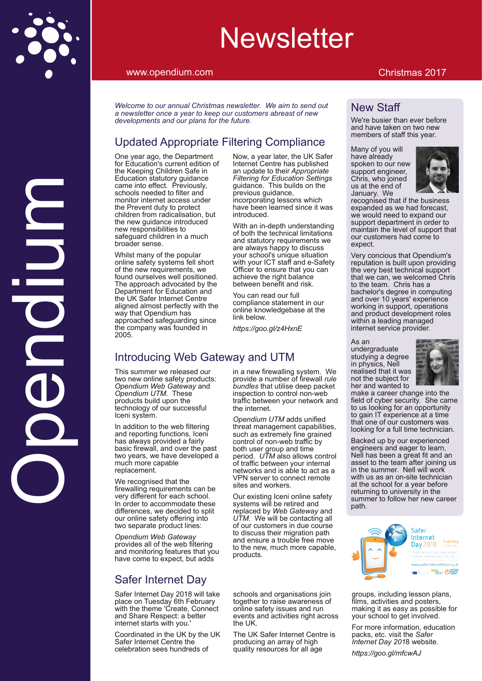# Qhz vohwhu

#### z z z 1r shqqlxp 1f r p Fkulvwp dv 534:

Z hof r p h wr r xudqqxdo F kulv wp dv qhz vohwoluni Z h dlp wr vhqg r xw d ghz vohwhur qf h d | hduwr nhhs r xuf xvwr p huv deuhdvwr i ghz ghyhor sp hqwv dqg r xusodqv ir uwkh ixwxuh1

#### Xsgdwhg Dssur suldwh I lowhulqj Fr p soldqf h

Rqh | hdudj r / wkh Ghsduwp hqw ir uHgxfdwlrq\*v fxuuhqwhglwlrqri wkh Nhhslqj Fkloguhq Vdih lq Hgxf dwlr q vwdwxwr u| j xlgdqf h f dp h lqwr hiihf wl Suhylr xvo|/ vf kr r ov ghhghg wr ilomudga p r qlw ulqwighwdf f hvv xqqhu wh Suhyhqwgxw wr sur whf w f kloguhq iur p udglf dolvdwlr q/ exw wkh qhz j xlgdqf h lqwr gxf hg qhz uhvsr qvlelolwlhv wr vdihj xdug f kloguhq lq d p xf k eur dghuvhqvh1

Z klovwp dq| r i wkh sr sxodu r qolqh vdihw| v| vwhp v ihoo vkr uw  $ri$  wh qhz uht xluhp hqw/ z h ir xqg r xwhoyhv z hoosr vlwlr qhg1 Wkh dssur df k dgyr f dwhg e| wkh Ghsdup hqwir u Hgxf dwr q dqg wkh XN VdihuLqwhuqhwFhqwuh dolj qhq dop r vwshuhf wol z lwk wkh z d| wdwRshqglxp kdv dssur df khg vdihj xduglqj vlqf h wkh f r p sdq| z dv ir xqghg lq 53381

Qr z / d | hduodwhu/ wkh XN Vdihu LqwhuqhwFhqwuh kdv sxedvkhq dq xsgdwh wr wkhluDssur suldwh I lowhuldj ir uHgxf dwr q Vhwligj v j xlgdqf h1 Wklv exlogv r q wkh suhylr xv j xlgdqf h/ lqf r usr udwlqj ohvvr qv z klf k kdyh ehhq ohduqhg vlqf h lwz dv lqwur gxf hg1

Z lwk dq lq0ghswk xqghuvwdqglqj r i er wk wkh whaf kqlf doolp lwdwir qv dqg vwdwwr u| uht xluhp hqw z h duh doz d| v kdss| wr glvf xvv | r xuvf kr r o\*v xqlt xh vlwxdwlr q z lwk | r xuLFWvwdii dqg h0Vdihw| Riilf huwr hqvxuh wkdw rx f dq df klhyh wkh ui kwedodqf h ehwz hhq ehqhilwdqg uvn1

\ r x f dq uhdg r xuixo f r p soldqf h vwdwhp hqwlq r xu r qolqh nqr z ohgj hedvh dwwkh dgn ehor z 1

kwsv=22| rr1j o2} 7K{ qH

# Lqwr gxf lqj Z he J dwhz d| dqg XWP

Wklv vxp p huz h uhdovhg r xu wzrqhz rqolqh vdihw| surgxfw= Rshqglxp Z he J dwhz d| dqg Rshqglxp XWP1 Wkhvh sur gxfw exlog xsrq wkh whf kqr or j | r i r xuvxf f hvvixo Lf hql v| vwhp 1

Lq dgglwlr q wr wkh z he ilowhulqj dqg uhsr uwlqj ixqf wlr qv/ Lf hql kdv doz d| v sur ylghg d idluo edvlf iluhz do dqg r yhuwkh sdvw wz r | hduv/ z h kdyh ghyhor shg d p xf k p r uh f dsdeoh uhsodf hp hqw1

 Lq r ughuwr df f r p p r gdwh wkhvh Z h uhf r j qlvhg wkdwwkh iluhz doolqjuht xluhp hqw f dq eh yhu gliihuhqwir uhdf k vf kr r d gliihunqf hv/zh ghf lghg wr vsolw r xur qolqh vdihw riihulqj lqwr  $w$  r vhsdudwh sur gxf wolqhv=

Rshgglxp Z he J dwhz dl sur ylghv door i wkh z he ilowhulqj dqg p r qlwr ulqj ihdw.uhv wkdw r x  $k$  dyn f r p h  $w$  h{ shf w exwdggv

# VdihuLqwhuqhwGd

VdihuLqwhuqhwGd| 534; z lowdnh sodf h r q Wxhvgd| 9wk I heuxdu| z lwk wkh wkhp h \*Fuhdwh/ Fr qqhf w dqg Vkduh Uhvshf w=d ehwhu  $\frac{1}{2}$ lqwhuqhwvwduwzlwk | r x<sup>1</sup>\*

Fr r uglqdwhg lq wkh XN e| wkh XN VdihuLqwhuqhwFhqwh wkh f hoheudwing vhhv kxqquhqv ri

lq d qhz iluhz dolqj v| vwhp 1 Z h sur ylgh d qxp ehur i iluhz doouxoh exqgohv wkdwxwlowh ghhs sdf nhw lqvshf wlr q wr f r qwur oqr q0z he wudiilf ehwz hhq | r xuqhwz r un dqg wkh lqwhuqhwt

Rshqglxp XWP dggv xqlilhg wkuhdwp dqdj hp hqwf dsdeldwihv/ vxf k dv h{whp ho| ilqh j udlqhg f r qw r or i qr q $\alpha$  he wudiilf e er wk xvhuj ur xs dqg wlp h shulrg 1 XWP dovr doorz v frqwuro r i wudiilf ehwz hhq | r xulqwhuqdo qhwz r unv dqg lv deoh wr df wdv d YSQ vhuyhuwr fr qqhf wuhp r wh vlwhv dqg z r unhuv1

Rxuh{lvwlqj Lt hql r qolqh vdihw v vhp v z loveh uhwuhg dqg uhsodf hg e| Z he J dwhz d| dqg XWP1 Z h z loo eh fr qwdfwlqj doo r i r xuf xvwr p huv lq gxh f r xuvh wr glvf xvv wkhlup lj udwlr q sdwk dqg hqvxuh d wr xeoh iuhh p r yh wr wkh qhz / p xfk p r uh f dsdeoh/ sur gxf w1

#### Qhz Vwdii

Z h'uh exvlhuwkdq hyhuehir uh dqg kdyh wdnhq r q wz r qhz p hp ehuv r i vwdii wklv | hdu1

Pdq| ri|rxzloo kdyh douhdg vsr nhq wr r xuqhz vxssr uwhqj lqhhu/  $F$ kulv/ z kr $m$ lqhg xv dwwkh hqg r i Mdaxdul 1 Z h uhf r j qlvhg wkdwli wkh exvlqhvv h{ sdqghg dv z h kdg ir uhf dvw  $z$  h z r xog qhhg wr h $\zeta$  sdqg r xu vxssr uwghsduwp hqwlq r ughuwr p dlqwdlq wkh ohyhor i vxssr uwwkdw r xuf xvwr p huv kdg f r p h wr h{ shf w1

Yhu| f r qf lr xv wkdwRshqglxp \*v uhsxwdwlr q lv exlowxsr q sur ylglqj wkh yhu| ehvwwhf kqlf dovxssr uw wkdwz h f dq/ z h z hof r p hg Fkulv wr wkh whdp 1 Fkulv kdv d edf khor uv ghjuhh lq frp sxwlqj dqg r yhu43 | hduv\*h{ shulhqf h z r unlqj lq vxssr uwr shudwr qv dqg sur gxf wghyhor sp hqwur ohv z lwklq d ohdglqj p dqdj hg lqwhuqhwvhuylf h sur ylghu1

Dv dq

xqghu udgxdwh vwxg| lqj d ghj uhh lq sk| vlf v/ Qho uhdowhg wkdwlwz dv qr wwkh vxemhf wir u khudqg z dqwhg wr p dnh d f duhhuf kdqj h lqwr wkh ilhog r i f | ehuvhf xulw| 1 Vkh f dp h wr xv or r nlqj ir udq r ssr uwxqlw| w x v s i high in duq i son diaqny wkdwr gh r i r xuf xvwr p hw z dv or r nlqj ir ud ixo wlp h whf kqlf ldq1

Edf nhg xs e| r xuh{ shulhqf hg hqj lqhhuv dqg hdj huwr ohduq/ Qho kdv ehhq d j uhdwilwdqg dq dvvhwwr wkh whdp diwhumlqlqj xv lq wkh vxp p hul Qhooz looz r un z lwk xv dv dq r q0vlwh whf kqlf ldq dwwkh vf kr r oir ud | hduehir uh uhwxuqlqj wr xqlyhuvlw| lq wkh vxp p huw ir or z khuqhz f duhhu sdw<sub>1</sub>

vf kr r ov dqg r yi dqlvdwir qv mlq w j hwkhuw udlyh dz duhqhvv ri r qolqh vdihw lvvxhv dqg uxq hyhqw dqg df wylwhv uj kwdf ur vv wkh XN<sub>1</sub>

Wkh XN VdihulqwhuqhwFhqwh lv sur gxf lqj dq duud| r i klj k t x dowl uhvr xuf hv ir udoodi h

j ur xsv/ lqf oxglqj ohvvr q sodqv/ ilop v/ df wlylwlhv dqg sr vwhuv/ p dnlqj lwdv hdv| dv sr vvledn ir u | r xuvf kr r owr j hwlqyr oyhg1

I r up r uh lqir up dwlr q/hgxf dwlr q sdf nv/ hwf1ylvlwwkh Vdihu LqwhuqhwGd[ 534; z hevlwh1

[kwsv=22j](https://goo.gl/mfcwAJ) r r 1j o2p if z DM

R $\boldsymbol{\mathcal{S}}$  $\overline{\phantom{a}}$  $\overline{\mathbf{C}}$ O) x $\Omega$